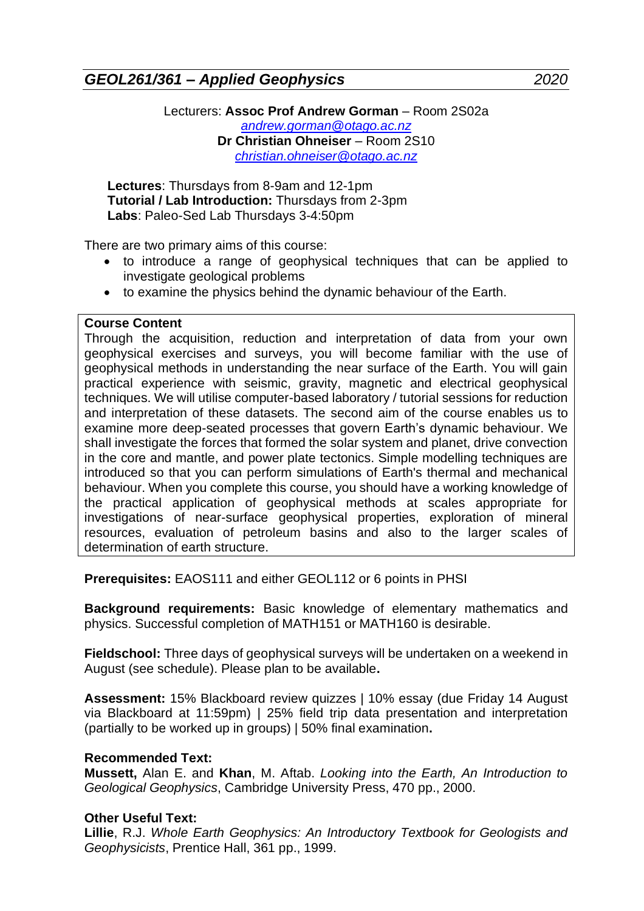*GEOL261/361 – Applied Geophysics 2020*

Lecturers: **Assoc Prof Andrew Gorman** – Room 2S02a *[andrew.gorman@otago.ac.nz](mailto:andrew.gorman@otago.ac.nz)* **Dr Christian Ohneiser** – Room 2S10 *[christian.ohneiser@otago.ac.nz](mailto:christian.ohneiser@otago.ac.nz)*

**Lectures**: Thursdays from 8-9am and 12-1pm **Tutorial / Lab Introduction:** Thursdays from 2-3pm **Labs**: Paleo-Sed Lab Thursdays 3-4:50pm

There are two primary aims of this course:

- to introduce a range of geophysical techniques that can be applied to investigate geological problems
- to examine the physics behind the dynamic behaviour of the Earth.

## **Course Content**

Through the acquisition, reduction and interpretation of data from your own geophysical exercises and surveys, you will become familiar with the use of geophysical methods in understanding the near surface of the Earth. You will gain practical experience with seismic, gravity, magnetic and electrical geophysical techniques. We will utilise computer-based laboratory / tutorial sessions for reduction and interpretation of these datasets. The second aim of the course enables us to examine more deep-seated processes that govern Earth's dynamic behaviour. We shall investigate the forces that formed the solar system and planet, drive convection in the core and mantle, and power plate tectonics. Simple modelling techniques are introduced so that you can perform simulations of Earth's thermal and mechanical behaviour. When you complete this course, you should have a working knowledge of the practical application of geophysical methods at scales appropriate for investigations of near-surface geophysical properties, exploration of mineral resources, evaluation of petroleum basins and also to the larger scales of determination of earth structure.

**Prerequisites:** EAOS111 and either GEOL112 or 6 points in PHSI

**Background requirements:** Basic knowledge of elementary mathematics and physics. Successful completion of MATH151 or MATH160 is desirable.

**Fieldschool:** Three days of geophysical surveys will be undertaken on a weekend in August (see schedule). Please plan to be available**.**

**Assessment:** 15% Blackboard review quizzes | 10% essay (due Friday 14 August via Blackboard at 11:59pm) | 25% field trip data presentation and interpretation (partially to be worked up in groups) | 50% final examination**.**

## **Recommended Text:**

**Mussett,** Alan E. and **Khan**, M. Aftab. *Looking into the Earth, An Introduction to Geological Geophysics*, Cambridge University Press, 470 pp., 2000.

## **Other Useful Text:**

**Lillie**, R.J. *Whole Earth Geophysics: An Introductory Textbook for Geologists and Geophysicists*, Prentice Hall, 361 pp., 1999.